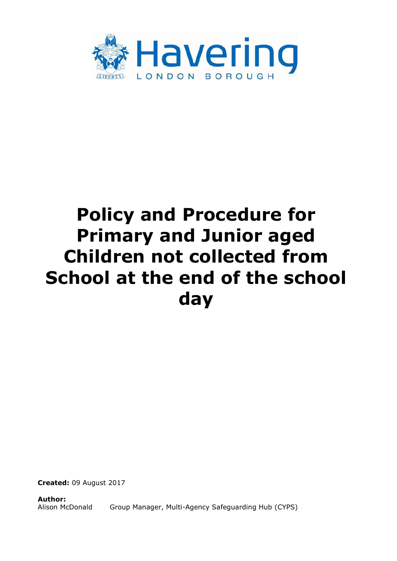

# **Policy and Procedure for Primary and Junior aged Children not collected from School at the end of the school day**

**Created:** 09 August 2017

**Author:** Alison McDonald Group Manager, Multi-Agency Safeguarding Hub (CYPS)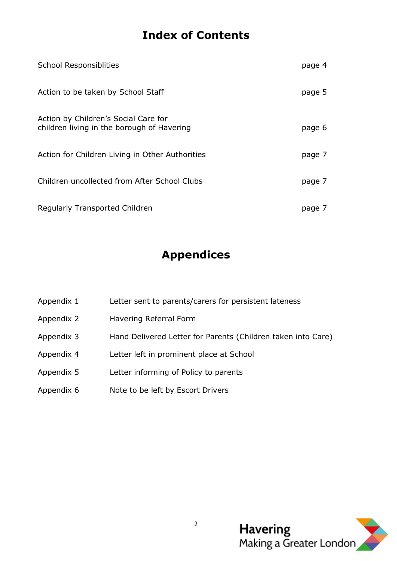# **Index of Contents**

| <b>School Responsiblities</b>                                                      | page 4 |
|------------------------------------------------------------------------------------|--------|
| Action to be taken by School Staff                                                 | page 5 |
| Action by Children's Social Care for<br>children living in the borough of Havering | page 6 |
| Action for Children Living in Other Authorities                                    | page 7 |
| Children uncollected from After School Clubs                                       | page 7 |
| <b>Regularly Transported Children</b>                                              | page 7 |

# **Appendices**

- Appendix 1 Letter sent to parents/carers for persistent lateness
- Appendix 2 Havering Referral Form
- Appendix 3 Hand Delivered Letter for Parents (Children taken into Care)
- Appendix 4 Letter left in prominent place at School
- Appendix 5 Letter informing of Policy to parents
- Appendix 6 Note to be left by Escort Drivers

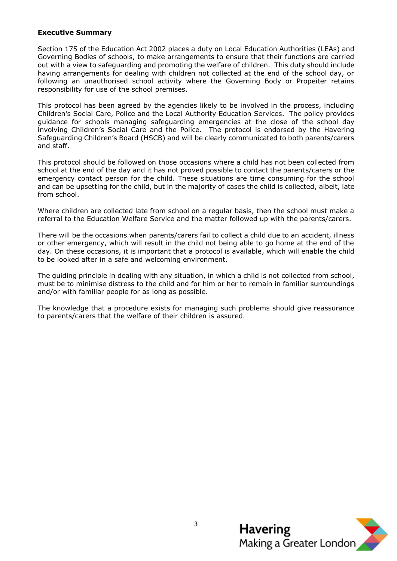#### **Executive Summary**

Section 175 of the Education Act 2002 places a duty on Local Education Authorities (LEAs) and Governing Bodies of schools, to make arrangements to ensure that their functions are carried out with a view to safeguarding and promoting the welfare of children. This duty should include having arrangements for dealing with children not collected at the end of the school day, or following an unauthorised school activity where the Governing Body or Propeiter retains responsibility for use of the school premises.

This protocol has been agreed by the agencies likely to be involved in the process, including Children's Social Care, Police and the Local Authority Education Services. The policy provides guidance for schools managing safeguarding emergencies at the close of the school day involving Children's Social Care and the Police. The protocol is endorsed by the Havering Safeguarding Children's Board (HSCB) and will be clearly communicated to both parents/carers and staff.

This protocol should be followed on those occasions where a child has not been collected from school at the end of the day and it has not proved possible to contact the parents/carers or the emergency contact person for the child. These situations are time consuming for the school and can be upsetting for the child, but in the majority of cases the child is collected, albeit, late from school.

Where children are collected late from school on a regular basis, then the school must make a referral to the Education Welfare Service and the matter followed up with the parents/carers.

There will be the occasions when parents/carers fail to collect a child due to an accident, illness or other emergency, which will result in the child not being able to go home at the end of the day. On these occasions, it is important that a protocol is available, which will enable the child to be looked after in a safe and welcoming environment.

The guiding principle in dealing with any situation, in which a child is not collected from school, must be to minimise distress to the child and for him or her to remain in familiar surroundings and/or with familiar people for as long as possible.

The knowledge that a procedure exists for managing such problems should give reassurance to parents/carers that the welfare of their children is assured.

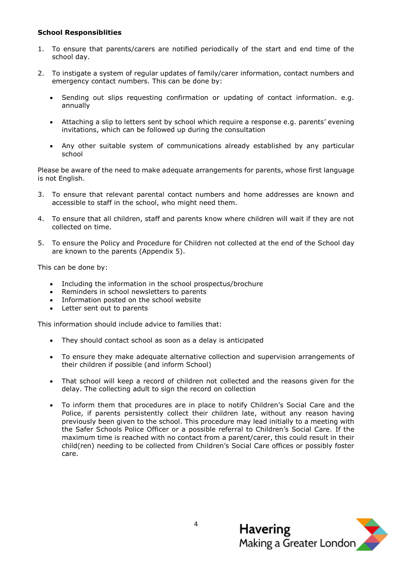#### **School Responsiblities**

- 1. To ensure that parents/carers are notified periodically of the start and end time of the school day.
- 2. To instigate a system of regular updates of family/carer information, contact numbers and emergency contact numbers. This can be done by:
	- Sending out slips requesting confirmation or updating of contact information. e.g. annually
	- Attaching a slip to letters sent by school which require a response e.g. parents' evening invitations, which can be followed up during the consultation
	- Any other suitable system of communications already established by any particular school

Please be aware of the need to make adequate arrangements for parents, whose first language is not English.

- 3. To ensure that relevant parental contact numbers and home addresses are known and accessible to staff in the school, who might need them.
- 4. To ensure that all children, staff and parents know where children will wait if they are not collected on time.
- 5. To ensure the Policy and Procedure for Children not collected at the end of the School day are known to the parents (Appendix 5).

This can be done by:

- Including the information in the school prospectus/brochure
- Reminders in school newsletters to parents
- Information posted on the school website
- Letter sent out to parents

This information should include advice to families that:

- They should contact school as soon as a delay is anticipated
- To ensure they make adequate alternative collection and supervision arrangements of their children if possible (and inform School)
- That school will keep a record of children not collected and the reasons given for the delay. The collecting adult to sign the record on collection
- To inform them that procedures are in place to notify Children's Social Care and the Police, if parents persistently collect their children late, without any reason having previously been given to the school. This procedure may lead initially to a meeting with the Safer Schools Police Officer or a possible referral to Children's Social Care. If the maximum time is reached with no contact from a parent/carer, this could result in their child(ren) needing to be collected from Children's Social Care offices or possibly foster care.

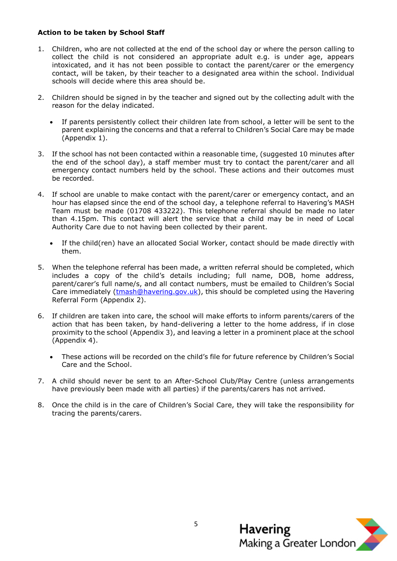#### **Action to be taken by School Staff**

- 1. Children, who are not collected at the end of the school day or where the person calling to collect the child is not considered an appropriate adult e.g. is under age, appears intoxicated, and it has not been possible to contact the parent/carer or the emergency contact, will be taken, by their teacher to a designated area within the school. Individual schools will decide where this area should be.
- 2. Children should be signed in by the teacher and signed out by the collecting adult with the reason for the delay indicated.
	- If parents persistently collect their children late from school, a letter will be sent to the parent explaining the concerns and that a referral to Children's Social Care may be made (Appendix 1).
- 3. If the school has not been contacted within a reasonable time, (suggested 10 minutes after the end of the school day), a staff member must try to contact the parent/carer and all emergency contact numbers held by the school. These actions and their outcomes must be recorded.
- 4. If school are unable to make contact with the parent/carer or emergency contact, and an hour has elapsed since the end of the school day, a telephone referral to Havering's MASH Team must be made (01708 433222). This telephone referral should be made no later than 4.15pm. This contact will alert the service that a child may be in need of Local Authority Care due to not having been collected by their parent.
	- If the child(ren) have an allocated Social Worker, contact should be made directly with them.
- 5. When the telephone referral has been made, a written referral should be completed, which includes a copy of the child's details including; full name, DOB, home address, parent/carer's full name/s, and all contact numbers, must be emailed to Children's Social Care immediately  $(\frac{t}{mash@havering.gov.uk})$ , this should be completed using the Havering Referral Form (Appendix 2).
- 6. If children are taken into care, the school will make efforts to inform parents/carers of the action that has been taken, by hand-delivering a letter to the home address, if in close proximity to the school (Appendix 3), and leaving a letter in a prominent place at the school (Appendix 4).
	- These actions will be recorded on the child's file for future reference by Children's Social Care and the School.
- 7. A child should never be sent to an After-School Club/Play Centre (unless arrangements have previously been made with all parties) if the parents/carers has not arrived.
- 8. Once the child is in the care of Children's Social Care, they will take the responsibility for tracing the parents/carers.

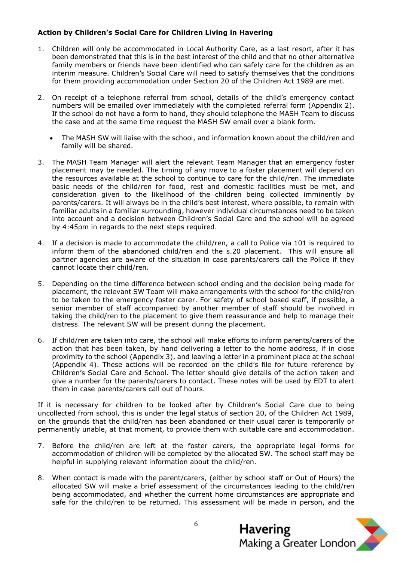# **Action by Children's Social Care for Children Living in Havering**

- 1. Children will only be accommodated in Local Authority Care, as a last resort, after it has been demonstrated that this is in the best interest of the child and that no other alternative family members or friends have been identified who can safely care for the children as an interim measure. Children's Social Care will need to satisfy themselves that the conditions for them providing accommodation under Section 20 of the Children Act 1989 are met.
- 2. On receipt of a telephone referral from school, details of the child's emergency contact numbers will be emailed over immediately with the completed referral form (Appendix 2). If the school do not have a form to hand, they should telephone the MASH Team to discuss the case and at the same time request the MASH SW email over a blank form.
	- The MASH SW will liaise with the school, and information known about the child/ren and family will be shared.
- 3. The MASH Team Manager will alert the relevant Team Manager that an emergency foster placement may be needed. The timing of any move to a foster placement will depend on the resources available at the school to continue to care for the child/ren. The immediate basic needs of the child/ren for food, rest and domestic facilities must be met, and consideration given to the likelihood of the children being collected imminently by parents/carers. It will always be in the child's best interest, where possible, to remain with familiar adults in a familiar surrounding, however individual circumstances need to be taken into account and a decision between Children's Social Care and the school will be agreed by 4:45pm in regards to the next steps required.
- 4. If a decision is made to accommodate the child/ren, a call to Police via 101 is required to inform them of the abandoned child/ren and the s.20 placement. This will ensure all partner agencies are aware of the situation in case parents/carers call the Police if they cannot locate their child/ren.
- 5. Depending on the time difference between school ending and the decision being made for placement, the relevant SW Team will make arrangements with the school for the child/ren to be taken to the emergency foster carer. For safety of school based staff, if possible, a senior member of staff accompanied by another member of staff should be involved in taking the child/ren to the placement to give them reassurance and help to manage their distress. The relevant SW will be present during the placement.
- 6. If child/ren are taken into care, the school will make efforts to inform parents/carers of the action that has been taken, by hand delivering a letter to the home address, if in close proximity to the school (Appendix 3), and leaving a letter in a prominent place at the school (Appendix 4). These actions will be recorded on the child's file for future reference by Children's Social Care and School. The letter should give details of the action taken and give a number for the parents/carers to contact. These notes will be used by EDT to alert them in case parents/carers call out of hours.

If it is necessary for children to be looked after by Children's Social Care due to being uncollected from school, this is under the legal status of section 20, of the Children Act 1989, on the grounds that the child/ren has been abandoned or their usual carer is temporarily or permanently unable, at that moment, to provide them with suitable care and accommodation.

- 7. Before the child/ren are left at the foster carers, the appropriate legal forms for accommodation of children will be completed by the allocated SW. The school staff may be helpful in supplying relevant information about the child/ren.
- 8. When contact is made with the parent/carers, (either by school staff or Out of Hours) the allocated SW will make a brief assessment of the circumstances leading to the child/ren being accommodated, and whether the current home circumstances are appropriate and safe for the child/ren to be returned. This assessment will be made in person, and the

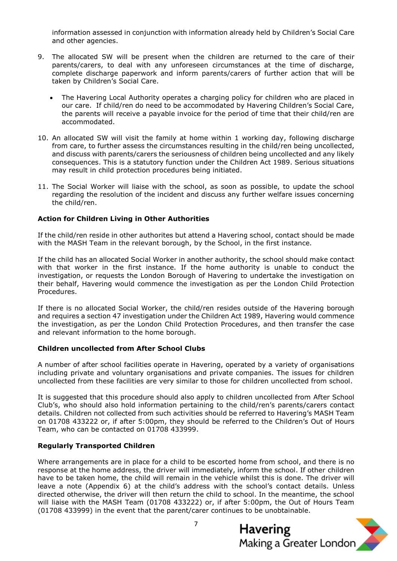information assessed in conjunction with information already held by Children's Social Care and other agencies.

- 9. The allocated SW will be present when the children are returned to the care of their parents/carers, to deal with any unforeseen circumstances at the time of discharge, complete discharge paperwork and inform parents/carers of further action that will be taken by Children's Social Care.
	- The Havering Local Authority operates a charging policy for children who are placed in our care. If child/ren do need to be accommodated by Havering Children's Social Care, the parents will receive a payable invoice for the period of time that their child/ren are accommodated.
- 10. An allocated SW will visit the family at home within 1 working day, following discharge from care, to further assess the circumstances resulting in the child/ren being uncollected, and discuss with parents/carers the seriousness of children being uncollected and any likely consequences. This is a statutory function under the Children Act 1989. Serious situations may result in child protection procedures being initiated.
- 11. The Social Worker will liaise with the school, as soon as possible, to update the school regarding the resolution of the incident and discuss any further welfare issues concerning the child/ren.

#### **Action for Children Living in Other Authorities**

If the child/ren reside in other authorites but attend a Havering school, contact should be made with the MASH Team in the relevant borough, by the School, in the first instance.

If the child has an allocated Social Worker in another authority, the school should make contact with that worker in the first instance. If the home authority is unable to conduct the investigation, or requests the London Borough of Havering to undertake the investigation on their behalf, Havering would commence the investigation as per the London Child Protection Procedures.

If there is no allocated Social Worker, the child/ren resides outside of the Havering borough and requires a section 47 investigation under the Children Act 1989, Havering would commence the investigation, as per the London Child Protection Procedures, and then transfer the case and relevant information to the home borough.

#### **Children uncollected from After School Clubs**

A number of after school facilities operate in Havering, operated by a variety of organisations including private and voluntary organisations and private companies. The issues for children uncollected from these facilities are very similar to those for children uncollected from school.

It is suggested that this procedure should also apply to children uncollected from After School Club's, who should also hold information pertaining to the child/ren's parents/carers contact details. Children not collected from such activities should be referred to Havering's MASH Team on 01708 433222 or, if after 5:00pm, they should be referred to the Children's Out of Hours Team, who can be contacted on 01708 433999.

## **Regularly Transported Children**

Where arrangements are in place for a child to be escorted home from school, and there is no response at the home address, the driver will immediately, inform the school. If other children have to be taken home, the child will remain in the vehicle whilst this is done. The driver will leave a note (Appendix 6) at the child's address with the school's contact details. Unless directed otherwise, the driver will then return the child to school. In the meantime, the school will liaise with the MASH Team (01708 433222) or, if after 5:00pm, the Out of Hours Team (01708 433999) in the event that the parent/carer continues to be unobtainable.

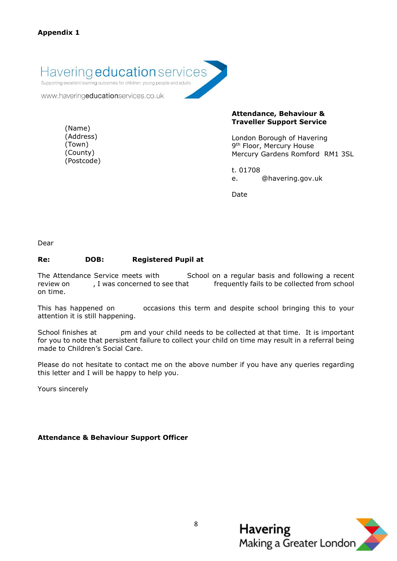Havering **education** services

Supporting excellent learning outcomes for children, young people and adults

www.haveringeducationservices.co.uk

(Name) (Address) (Town) (County) (Postcode) **Attendance, Behaviour & Traveller Support Service**

London Borough of Havering 9<sup>th</sup> Floor, Mercury House Mercury Gardens Romford RM1 3SL

t. 01708 e. @havering.gov.uk

Date

Dear

## **Re: DOB: Registered Pupil at**

The Attendance Service meets with School on a regular basis and following a recent review on , I was concerned to see that frequently fails to be collected from school on time.

This has happened on occasions this term and despite school bringing this to your attention it is still happening.

School finishes at httpm and your child needs to be collected at that time. It is important for you to note that persistent failure to collect your child on time may result in a referral being made to Children's Social Care.

Please do not hesitate to contact me on the above number if you have any queries regarding this letter and I will be happy to help you.

Yours sincerely

## **Attendance & Behaviour Support Officer**

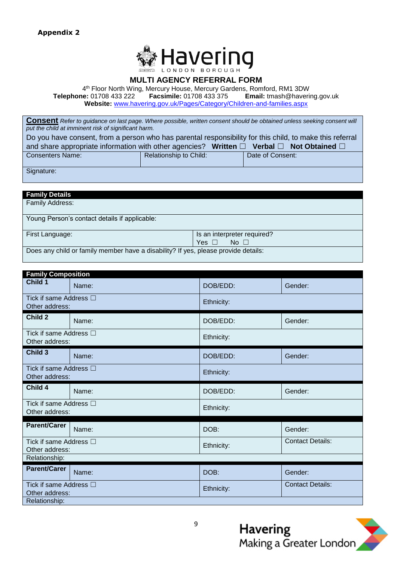

## **MULTI AGENCY REFERRAL FORM**

4 th Floor North Wing, Mercury House, Mercury Gardens, Romford, RM1 3DW

**Telephone:** 01708 433 222 **Facsimile:** 01708 433 375 **Email:** tmash@havering.gov.uk **Website:** [www.havering.gov.uk/Pages/Category/Children-and-families.aspx](http://www.havering.gov.uk/Pages/Category/Children-and-families.aspx)

**Consent** *Refer to guidance on last page. Where possible, written consent should be obtained unless seeking consent will put the child at imminent risk of significant harm.*

| Do you have consent, from a person who has parental responsibility for this child, to make this referral         |                        |  |                  |  |  |  |
|------------------------------------------------------------------------------------------------------------------|------------------------|--|------------------|--|--|--|
| and share appropriate information with other agencies? Written $\square$ Verbal $\square$ Not Obtained $\square$ |                        |  |                  |  |  |  |
| <b>Consenters Name:</b>                                                                                          | Relationship to Child: |  | Date of Consent: |  |  |  |
|                                                                                                                  |                        |  |                  |  |  |  |
| Signature:                                                                                                       |                        |  |                  |  |  |  |

| <b>Family Details</b>                                                              |                             |  |  |  |
|------------------------------------------------------------------------------------|-----------------------------|--|--|--|
| Family Address:                                                                    |                             |  |  |  |
| Young Person's contact details if applicable:                                      |                             |  |  |  |
|                                                                                    |                             |  |  |  |
| First Language:                                                                    | Is an interpreter required? |  |  |  |
|                                                                                    | $No \ \Box$<br>Yes $\Box$   |  |  |  |
| Does any child or family member have a disability? If yes, please provide details: |                             |  |  |  |
|                                                                                    |                             |  |  |  |

| <b>Family Composition</b>                     |       |            |                         |  |  |
|-----------------------------------------------|-------|------------|-------------------------|--|--|
| Child 1                                       | Name: | DOB/EDD:   | Gender:                 |  |  |
| Tick if same Address $\Box$<br>Other address: |       | Ethnicity: |                         |  |  |
| Child 2                                       | Name: | DOB/EDD:   | Gender:                 |  |  |
| Tick if same Address $\Box$<br>Other address: |       | Ethnicity: |                         |  |  |
| Child 3                                       | Name: | DOB/EDD:   | Gender:                 |  |  |
| Tick if same Address $\Box$<br>Other address: |       | Ethnicity: |                         |  |  |
| Child 4                                       | Name: | DOB/EDD:   | Gender:                 |  |  |
| Tick if same Address □<br>Other address:      |       | Ethnicity: |                         |  |  |
| <b>Parent/Carer</b>                           | Name: | DOB:       | Gender:                 |  |  |
| Tick if same Address □<br>Other address:      |       | Ethnicity: | <b>Contact Details:</b> |  |  |
| Relationship:                                 |       |            |                         |  |  |
| <b>Parent/Carer</b>                           | Name: | DOB:       | Gender:                 |  |  |
| Tick if same Address $\Box$<br>Other address: |       | Ethnicity: | <b>Contact Details:</b> |  |  |
| Relationship:                                 |       |            |                         |  |  |

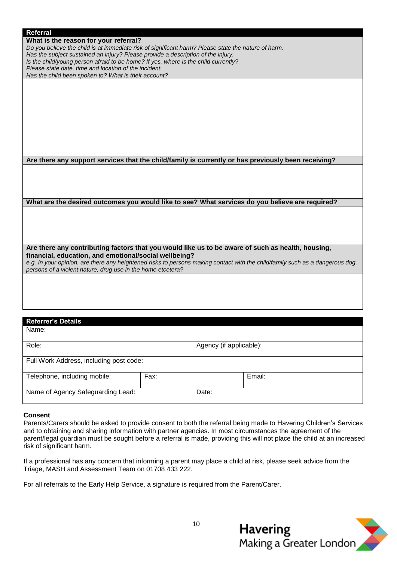**What is the reason for your referral?**

*Do you believe the child is at immediate risk of significant harm? Please state the nature of harm.*

- *Has the subject sustained an injury? Please provide a description of the injury.*
- *Is the child/young person afraid to be home? If yes, where is the child currently?*

*Please state date, time and location of the incident. Has the child been spoken to? What is their account?*

**Are there any support services that the child/family is currently or has previously been receiving?**

**What are the desired outcomes you would like to see? What services do you believe are required?**

**Are there any contributing factors that you would like us to be aware of such as health, housing, financial, education, and emotional/social wellbeing?**

*e.g. In your opinion, are there any heightened risks to persons making contact with the child/family such as a dangerous dog, persons of a violent nature, drug use in the home etcetera?*

#### **Referrer's Details**

Name: Role:  $\vert$  Agency (if applicable): Full Work Address, including post code: Telephone, including mobile: Fax: Fax: Fax: Fax: Felephone, including mobile: Fax: Name of Agency Safeguarding Lead: <br> Date:

#### **Consent**

Parents/Carers should be asked to provide consent to both the referral being made to Havering Children's Services and to obtaining and sharing information with partner agencies. In most circumstances the agreement of the parent/legal guardian must be sought before a referral is made, providing this will not place the child at an increased risk of significant harm.

If a professional has any concern that informing a parent may place a child at risk, please seek advice from the Triage, MASH and Assessment Team on 01708 433 222.

For all referrals to the Early Help Service, a signature is required from the Parent/Carer.

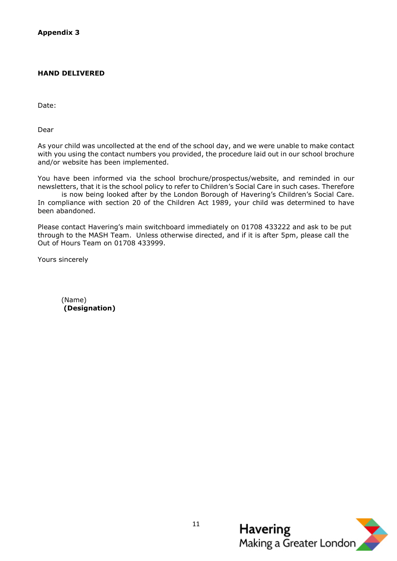#### **HAND DELIVERED**

Date:

Dear

As your child was uncollected at the end of the school day, and we were unable to make contact with you using the contact numbers you provided, the procedure laid out in our school brochure and/or website has been implemented.

You have been informed via the school brochure/prospectus/website, and reminded in our newsletters, that it is the school policy to refer to Children's Social Care in such cases. Therefore

is now being looked after by the London Borough of Havering's Children's Social Care. In compliance with section 20 of the Children Act 1989, your child was determined to have been abandoned.

Please contact Havering's main switchboard immediately on 01708 433222 and ask to be put through to the MASH Team. Unless otherwise directed, and if it is after 5pm, please call the Out of Hours Team on 01708 433999.

Yours sincerely

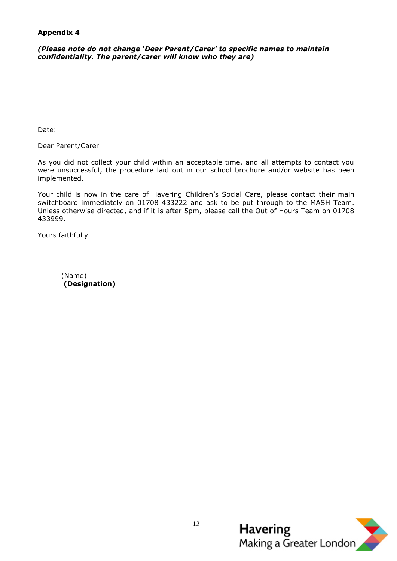## **Appendix 4**

*(Please note do not change 'Dear Parent/Carer' to specific names to maintain confidentiality. The parent/carer will know who they are)* 

Date:

Dear Parent/Carer

As you did not collect your child within an acceptable time, and all attempts to contact you were unsuccessful, the procedure laid out in our school brochure and/or website has been implemented.

Your child is now in the care of Havering Children's Social Care, please contact their main switchboard immediately on 01708 433222 and ask to be put through to the MASH Team. Unless otherwise directed, and if it is after 5pm, please call the Out of Hours Team on 01708 433999.

Yours faithfully

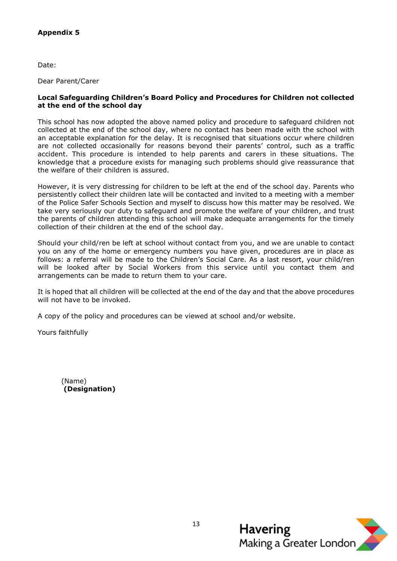# **Appendix 5**

Date:

Dear Parent/Carer

#### **Local Safeguarding Children's Board Policy and Procedures for Children not collected at the end of the school day**

This school has now adopted the above named policy and procedure to safeguard children not collected at the end of the school day, where no contact has been made with the school with an acceptable explanation for the delay. It is recognised that situations occur where children are not collected occasionally for reasons beyond their parents' control, such as a traffic accident. This procedure is intended to help parents and carers in these situations. The knowledge that a procedure exists for managing such problems should give reassurance that the welfare of their children is assured.

However, it is very distressing for children to be left at the end of the school day. Parents who persistently collect their children late will be contacted and invited to a meeting with a member of the Police Safer Schools Section and myself to discuss how this matter may be resolved. We take very seriously our duty to safeguard and promote the welfare of your children, and trust the parents of children attending this school will make adequate arrangements for the timely collection of their children at the end of the school day.

Should your child/ren be left at school without contact from you, and we are unable to contact you on any of the home or emergency numbers you have given, procedures are in place as follows: a referral will be made to the Children's Social Care. As a last resort, your child/ren will be looked after by Social Workers from this service until you contact them and arrangements can be made to return them to your care.

It is hoped that all children will be collected at the end of the day and that the above procedures will not have to be invoked.

A copy of the policy and procedures can be viewed at school and/or website.

Yours faithfully